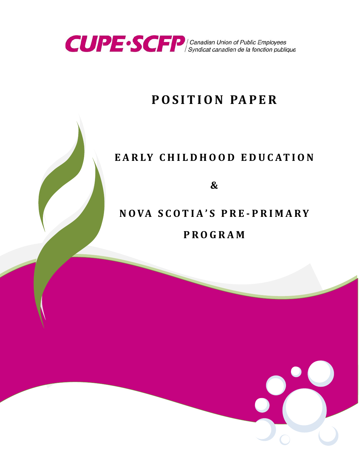

# **POSITION PAPER**

# **EARLY CHILDHOOD EDUC ATION**

**&**

# **NOVA SCOT I A ' S PRE - PRIMARY PROGRAM**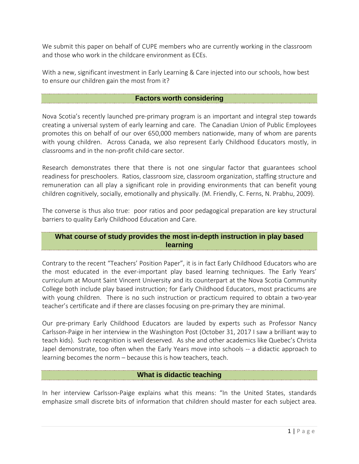We submit this paper on behalf of CUPE members who are currently working in the classroom and those who work in the childcare environment as ECEs.

With a new, significant investment in Early Learning & Care injected into our schools, how best to ensure our children gain the most from it?

#### **Factors worth considering**

Nova Scotia's recently launched pre-primary program is an important and integral step towards creating a universal system of early learning and care. The Canadian Union of Public Employees promotes this on behalf of our over 650,000 members nationwide, many of whom are parents with young children. Across Canada, we also represent Early Childhood Educators mostly, in classrooms and in the non-profit child-care sector.

Research demonstrates there that there is not one singular factor that guarantees school readiness for preschoolers. Ratios, classroom size, classroom organization, staffing structure and remuneration can all play a significant role in providing environments that can benefit young children cognitively, socially, emotionally and physically. (M. Friendly, C. Ferns, N. Prabhu, 2009).

The converse is thus also true: poor ratios and poor pedagogical preparation are key structural barriers to quality Early Childhood Education and Care.

# **What course of study provides the most in-depth instruction in play based learning**

Contrary to the recent "Teachers' Position Paper", it is in fact Early Childhood Educators who are the most educated in the ever-important play based learning techniques. The Early Years' curriculum at Mount Saint Vincent University and its counterpart at the Nova Scotia Community College both include play based instruction; for Early Childhood Educators, most practicums are with young children. There is no such instruction or practicum required to obtain a two-year teacher's certificate and if there are classes focusing on pre-primary they are minimal.

Our pre-primary Early Childhood Educators are lauded by experts such as Professor Nancy Carlsson-Paige in her interview in the Washington Post (October 31, 2017 I saw a brilliant way to teach kids). Such recognition is well deserved. As she and other academics like Quebec's Christa Japel demonstrate, too often when the Early Years move into schools -- a didactic approach to learning becomes the norm – because this is how teachers, teach.

# **What is didactic teaching**

In her interview Carlsson-Paige explains what this means: "In the United States, standards emphasize small discrete bits of information that children should master for each subject area.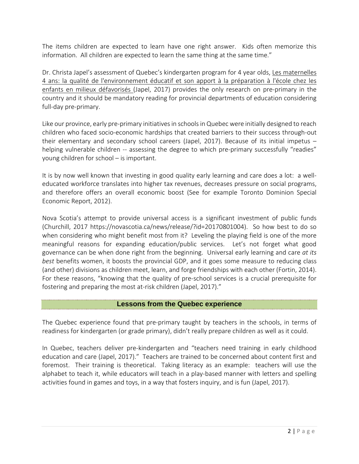The items children are expected to learn have one right answer. Kids often memorize this information. All children are expected to learn the same thing at the same time."

Dr. Christa Japel's assessment of Quebec's kindergarten program for 4 year olds, Les maternelles 4 ans: la qualité de l'environnement éducatif et son apport à la préparation à l'école chez les enfants en milieux défavorisés (Japel, 2017) provides the only research on pre-primary in the country and it should be mandatory reading for provincial departments of education considering full-day pre-primary.

Like our province, early pre-primary initiatives in schools in Quebec were initially designed to reach children who faced socio-economic hardships that created barriers to their success through-out their elementary and secondary school careers (Japel, 2017). Because of its initial impetus – helping vulnerable children -- assessing the degree to which pre-primary successfully "readies" young children for school – is important.

It is by now well known that investing in good quality early learning and care does a lot: a welleducated workforce translates into higher tax revenues, decreases pressure on social programs, and therefore offers an overall economic boost (See for example Toronto Dominion Special Economic Report, 2012).

Nova Scotia's attempt to provide universal access is a significant investment of public funds (Churchill, 2017 https://novascotia.ca/news/release/?id=20170801004). So how best to do so when considering who might benefit most from it? Leveling the playing field is one of the more meaningful reasons for expanding education/public services. Let's not forget what good governance can be when done right from the beginning. Universal early learning and care *at its best* benefits women, it boosts the provincial GDP, and it goes some measure to reducing class (and other) divisions as children meet, learn, and forge friendships with each other (Fortin, 2014). For these reasons, "knowing that the quality of pre-school services is a crucial prerequisite for fostering and preparing the most at-risk children (Japel, 2017)."

#### **Lessons from the Quebec experience**

The Quebec experience found that pre-primary taught by teachers in the schools, in terms of readiness for kindergarten (or grade primary), didn't really prepare children as well as it could.

In Quebec, teachers deliver pre-kindergarten and "teachers need training in early childhood education and care (Japel, 2017)." Teachers are trained to be concerned about content first and foremost. Their training is theoretical. Taking literacy as an example: teachers will use the alphabet to teach it, while educators will teach in a play-based manner with letters and spelling activities found in games and toys, in a way that fosters inquiry, and is fun (Japel, 2017).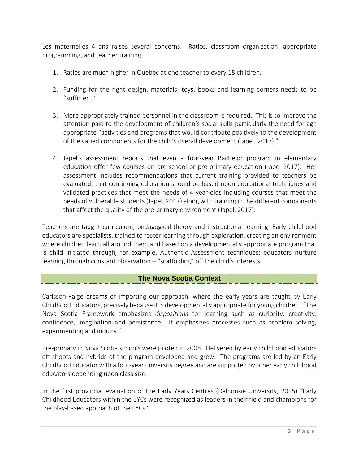Les maternelles 4 ans raises several concerns. Ratios, classroom organization, appropriate programming, and teacher training.

- 1. Ratios are much higher in Quebec at one teacher to every 18 children.
- 2. Funding for the right design, materials, toys, books and learning corners needs to be "sufficient."
- 3. More appropriately trained personnel in the classroom is required. This is to improve the attention paid to the development of children's social skills particularly the need for age appropriate "activities and programs that would contribute positively to the development of the varied components for the child's overall development (Japel; 2017)."
- 4. Japel's assessment reports that even a four-year Bachelor program in elementary education offer few courses on pre-school or pre-primary education (Japel 2017). Her assessment includes recommendations that current training provided to teachers be evaluated; that continuing education should be based upon educational techniques and validated practices that meet the needs of 4-year-olds including courses that meet the needs of vulnerable students (Japel, 2017) along with training in the different components that affect the quality of the pre-primary environment (Japel, 2017).

Teachers are taught curriculum, pedagogical theory and instructional learning. Early childhood educators are specialists, trained to foster learning through exploration, creating an environment where children learn all around them and based on a developmentally appropriate program that is child initiated through, for example, Authentic Assessment techniques; educators nurture learning through constant observation – "scaffolding" off the child's interests.

# **The Nova Scotia Context**

Carlsson-Paige dreams of importing our approach, where the early years are taught by Early Childhood Educators, precisely because it is developmentally appropriate for young children. "The Nova Scotia Framework emphasizes *dispositions* for learning such as curiosity, creativity, confidence, imagination and persistence. It emphasizes processes such as problem solving, experimenting and inquiry."

Pre-primary in Nova Scotia schools were piloted in 2005. Delivered by early childhood educators off-shoots and hybrids of the program developed and grew. The programs are led by an Early Childhood Educator with a four-year university degree and are supported by other early childhood educators depending upon class size.

In the first provincial evaluation of the Early Years Centres (Dalhousie University, 2015) "Early Childhood Educators within the EYCs were recognized as leaders in their field and champions for the play-based approach of the EYCs."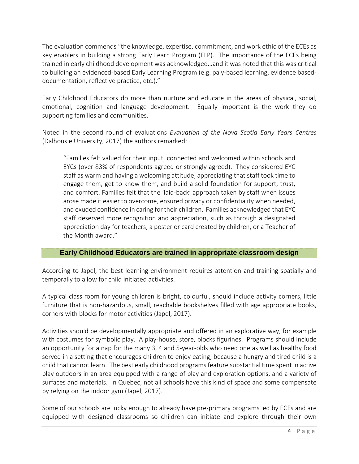The evaluation commends "the knowledge, expertise, commitment, and work ethic of the ECEs as key enablers in building a strong Early Learn Program (ELP). The importance of the ECEs being trained in early childhood development was acknowledged…and it was noted that this was critical to building an evidenced-based Early Learning Program (e.g. paly-based learning, evidence baseddocumentation, reflective practice, etc.)."

Early Childhood Educators do more than nurture and educate in the areas of physical, social, emotional, cognition and language development. Equally important is the work they do supporting families and communities.

Noted in the second round of evaluations *Evaluation of the Nova Scotia Early Years Centres* (Dalhousie University, 2017) the authors remarked:

"Families felt valued for their input, connected and welcomed within schools and EYCs (over 83% of respondents agreed or strongly agreed). They considered EYC staff as warm and having a welcoming attitude, appreciating that staff took time to engage them, get to know them, and build a solid foundation for support, trust, and comfort. Families felt that the 'laid-back' approach taken by staff when issues arose made it easier to overcome, ensured privacy or confidentiality when needed, and exuded confidence in caring for their children. Families acknowledged that EYC staff deserved more recognition and appreciation, such as through a designated appreciation day for teachers, a poster or card created by children, or a Teacher of the Month award."

# **Early Childhood Educators are trained in appropriate classroom design**

According to Japel, the best learning environment requires attention and training spatially and temporally to allow for child initiated activities.

A typical class room for young children is bright, colourful, should include activity corners, little furniture that is non-hazardous, small, reachable bookshelves filled with age appropriate books, corners with blocks for motor activities (Japel, 2017).

Activities should be developmentally appropriate and offered in an explorative way, for example with costumes for symbolic play. A play-house, store, blocks figurines. Programs should include an opportunity for a nap for the many 3, 4 and 5-year-olds who need one as well as healthy food served in a setting that encourages children to enjoy eating; because a hungry and tired child is a child that cannot learn. The best early childhood programsfeature substantial time spent in active play outdoors in an area equipped with a range of play and exploration options, and a variety of surfaces and materials. In Quebec, not all schools have this kind of space and some compensate by relying on the indoor gym (Japel, 2017).

Some of our schools are lucky enough to already have pre-primary programs led by ECEs and are equipped with designed classrooms so children can initiate and explore through their own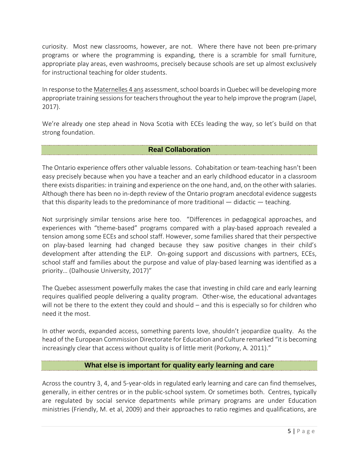curiosity. Most new classrooms, however, are not. Where there have not been pre-primary programs or where the programming is expanding, there is a scramble for small furniture, appropriate play areas, even washrooms, precisely because schools are set up almost exclusively for instructional teaching for older students.

In response to the Maternelles 4 ans assessment, school boards in Quebec will be developing more appropriate training sessions for teachers throughout the year to help improve the program (Japel, 2017).

We're already one step ahead in Nova Scotia with ECEs leading the way, so let's build on that strong foundation.

#### **Real Collaboration**

The Ontario experience offers other valuable lessons. Cohabitation or team-teaching hasn't been easy precisely because when you have a teacher and an early childhood educator in a classroom there exists disparities: in training and experience on the one hand, and, on the other with salaries. Although there has been no in-depth review of the Ontario program anecdotal evidence suggests that this disparity leads to the predominance of more traditional  $-$  didactic  $-$  teaching.

Not surprisingly similar tensions arise here too. "Differences in pedagogical approaches, and experiences with "theme-based" programs compared with a play-based approach revealed a tension among some ECEs and school staff. However, some families shared that their perspective on play-based learning had changed because they saw positive changes in their child's development after attending the ELP. On-going support and discussions with partners, ECEs, school staff and families about the purpose and value of play-based learning was identified as a priority… (Dalhousie University, 2017)"

The Quebec assessment powerfully makes the case that investing in child care and early learning requires qualified people delivering a quality program. Other-wise, the educational advantages will not be there to the extent they could and should – and this is especially so for children who need it the most.

In other words, expanded access, something parents love, shouldn't jeopardize quality. As the head of the European Commission Directorate for Education and Culture remarked "it is becoming increasingly clear that access without quality is of little merit (Porkony, A. 2011)."

# **What else is important for quality early learning and care**

Across the country 3, 4, and 5-year-olds in regulated early learning and care can find themselves, generally, in either centres or in the public-school system. Or sometimes both. Centres, typically are regulated by social service departments while primary programs are under Education ministries (Friendly, M. et al, 2009) and their approaches to ratio regimes and qualifications, are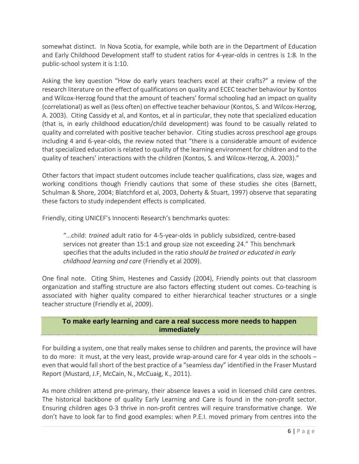somewhat distinct. In Nova Scotia, for example, while both are in the Department of Education and Early Childhood Development staff to student ratios for 4-year-olds in centres is 1:8. In the public-school system it is 1:10.

Asking the key question "How do early years teachers excel at their crafts?" a review of the research literature on the effect of qualifications on quality and ECEC teacher behaviour by Kontos and Wilcox-Herzog found that the amount of teachers' formal schooling had an impact on quality (correlational) as well as(less often) on effective teacher behaviour (Kontos, S. and Wilcox-Herzog, A. 2003). Citing Cassidy et al, and Kontos, et al in particular, they note that specialized education (that is, in early childhood education/child development) was found to be casually related to quality and correlated with positive teacher behavior. Citing studies across preschool age groups including 4 and 6-year-olds, the review noted that "there is a considerable amount of evidence that specialized education is related to quality of the learning environment for children and to the quality of teachers' interactions with the children (Kontos, S. and Wilcox-Herzog, A. 2003)."

Other factors that impact student outcomes include teacher qualifications, class size, wages and working conditions though Friendly cautions that some of these studies she cites (Barnett, Schulman & Shore, 2004; Blatchford et al, 2003, Doherty & Stuart, 1997) observe that separating these factors to study independent effects is complicated.

Friendly, citing UNICEF's Innocenti Research's benchmarks quotes:

"...child: *trained* adult ratio for 4-5-year-olds in publicly subsidized, centre-based services not greater than 15:1 and group size not exceeding 24." This benchmark specifies that the adults included in the ratio *should be trained or educated in early childhood learning and care* (Friendly et al 2009).

One final note. Citing Shim, Hestenes and Cassidy (2004), Friendly points out that classroom organization and staffing structure are also factors effecting student out comes. Co-teaching is associated with higher quality compared to either hierarchical teacher structures or a single teacher structure (Friendly et al, 2009).

#### **To make early learning and care a real success more needs to happen immediately**

For building a system, one that really makes sense to children and parents, the province will have to do more: it must, at the very least, provide wrap-around care for 4 year olds in the schools – even that would fall short of the best practice of a "seamless day" identified in the Fraser Mustard Report (Mustard, J.F, McCain, N., McCuaig, K., 2011).

As more children attend pre-primary, their absence leaves a void in licensed child care centres. The historical backbone of quality Early Learning and Care is found in the non-profit sector. Ensuring children ages 0-3 thrive in non-profit centres will require transformative change. We don't have to look far to find good examples: when P.E.I. moved primary from centres into the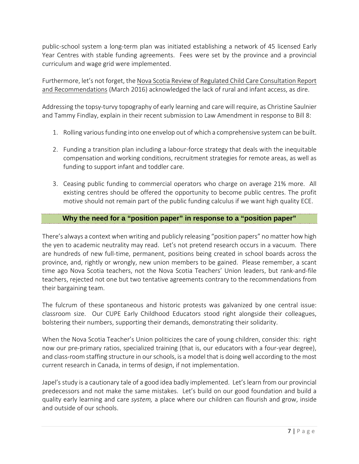public-school system a long-term plan was initiated establishing a network of 45 licensed Early Year Centres with stable funding agreements. Fees were set by the province and a provincial curriculum and wage grid were implemented.

Furthermore, let's not forget, the Nova Scotia Review of Regulated Child Care Consultation Report and Recommendations (March 2016) acknowledged the lack of rural and infant access, as dire.

Addressing the topsy-turvy topography of early learning and care will require, as Christine Saulnier and Tammy Findlay, explain in their recent submission to Law Amendment in response to Bill 8:

- 1. Rolling variousfunding into one envelop out of which a comprehensive system can be built.
- 2. Funding a transition plan including a labour-force strategy that deals with the inequitable compensation and working conditions, recruitment strategies for remote areas, as well as funding to support infant and toddler care.
- 3. Ceasing public funding to commercial operators who charge on average 21% more. All existing centres should be offered the opportunity to become public centres. The profit motive should not remain part of the public funding calculus if we want high quality ECE.

#### **Why the need for a "position paper" in response to a "position paper"**

There's always a context when writing and publicly releasing "position papers" no matter how high the yen to academic neutrality may read. Let's not pretend research occurs in a vacuum. There are hundreds of new full-time, permanent, positions being created in school boards across the province, and, rightly or wrongly, new union members to be gained. Please remember, a scant time ago Nova Scotia teachers, not the Nova Scotia Teachers' Union leaders, but rank-and-file teachers, rejected not one but two tentative agreements contrary to the recommendations from their bargaining team.

The fulcrum of these spontaneous and historic protests was galvanized by one central issue: classroom size. Our CUPE Early Childhood Educators stood right alongside their colleagues, bolstering their numbers, supporting their demands, demonstrating their solidarity.

When the Nova Scotia Teacher's Union politicizes the care of young children, consider this: right now our pre-primary ratios, specialized training (that is, our educators with a four-year degree), and class-room staffing structure in ourschools, is a model that is doing well according to the most current research in Canada, in terms of design, if not implementation.

Japel's study is a cautionary tale of a good idea badly implemented. Let's learn from our provincial predecessors and not make the same mistakes. Let's build on our good foundation and build a quality early learning and care *system,* a place where our children can flourish and grow, inside and outside of our schools.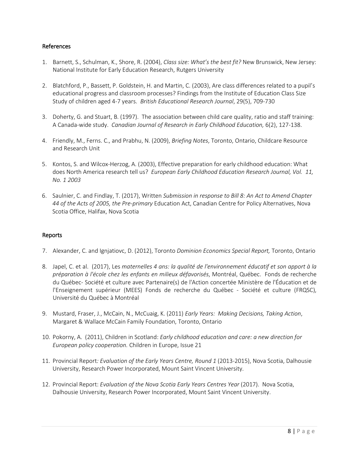#### References

- 1. Barnett, S., Schulman, K., Shore, R. (2004), *Class size: What's the best fit?* New Brunswick, New Jersey: National Institute for Early Education Research, Rutgers University
- 2. Blatchford, P., Bassett, P. Goldstein, H. and Martin, C. (2003), Are class differences related to a pupil's educational progress and classroom processes? Findings from the Institute of Education Class Size Study of children aged 4-7 years. *British Educational Research Journal*, 29(5), 709-730
- 3. Doherty, G. and Stuart, B. (1997). The association between child care quality, ratio and staff training: A Canada-wide study. *Canadian Journal of Research in Early Childhood Education,* 6(2), 127-138.
- 4. Friendly, M., Ferns. C., and Prabhu, N. (2009), *Briefing Notes*, Toronto, Ontario, Childcare Resource and Research Unit
- 5. Kontos, S. and Wilcox-Herzog, A. (2003), Effective preparation for early childhood education: What does North America research tell us? *European Early Childhood Education Research Journal, Vol. 11, No. 1 2003*
- 6. Saulnier, C. and Findlay, T. (2017), Written *Submission in response to Bill 8: An Act to Amend Chapter 44 of the Acts of 2005, the Pre-primary* Education Act, Canadian Centre for Policy Alternatives, Nova Scotia Office, Halifax, Nova Scotia

#### Reports

- 7. Alexander, C. and Ignjatiovc, D. (2012), Toronto *Dominion Economics Special Report,* Toronto, Ontario
- 8. Japel, C. et al. (2017), Les *maternelles 4 ans: la qualité de l'environnement éducatif et son apport à la préparation à l'école chez les enfants en milieux défavorisés*, Montréal, Québec. Fonds de recherche du Québec- Société et culture avec Partenaire(s) de l'Action concertée Ministère de l'Éducation et de l'Enseignement supérieur (MEES) Fonds de recherche du Québec - Société et culture (FRQSC), Université du Québec à Montréal
- 9. Mustard, Fraser, J., McCain, N., McCuaig, K. (2011) *Early Years: Making Decisions, Taking Action*, Margaret & Wallace McCain Family Foundation, Toronto, Ontario
- 10. Pokorny, A. (2011), Children in Scotland: *Early childhood education and care: a new direction for European policy cooperation.* Children in Europe, Issue 21
- 11. Provincial Report*: Evaluation of the Early Years Centre, Round 1* (2013-2015), Nova Scotia, Dalhousie University, Research Power Incorporated, Mount Saint Vincent University.
- 12. Provincial Report: *Evaluation of the Nova Scotia Early Years Centres Year* (2017). Nova Scotia, Dalhousie University, Research Power Incorporated, Mount Saint Vincent University.